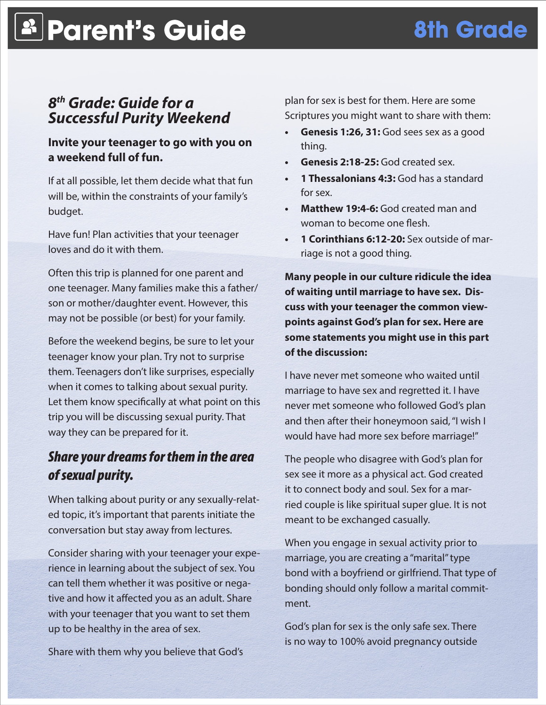# **Parent's Guide 8th Grade**

## *8th Grade: Guide for a Successful Purity Weekend*

## **Invite your teenager to go with you on a weekend full of fun.**

If at all possible, let them decide what that fun will be, within the constraints of your family's budget.

Have fun! Plan activities that your teenager loves and do it with them.

Often this trip is planned for one parent and one teenager. Many families make this a father/ son or mother/daughter event. However, this may not be possible (or best) for your family.

Before the weekend begins, be sure to let your teenager know your plan. Try not to surprise them. Teenagers don't like surprises, especially when it comes to talking about sexual purity. Let them know specifically at what point on this trip you will be discussing sexual purity. That way they can be prepared for it.

## *Share your dreams for them in the area of sexual purity.*

When talking about purity or any sexually-related topic, it's important that parents initiate the conversation but stay away from lectures.

Consider sharing with your teenager your experience in learning about the subject of sex. You can tell them whether it was positive or negative and how it affected you as an adult. Share with your teenager that you want to set them up to be healthy in the area of sex.

Share with them why you believe that God's

plan for sex is best for them. Here are some Scriptures you might want to share with them:

- **Genesis 1:26, 31:** God sees sex as a good thing.
- **Genesis 2:18-25:** God created sex.
- **1 Thessalonians 4:3: God has a standard** for sex.
- **• Matthew 19:4-6:** God created man and woman to become one flesh.
- **• 1 Corinthians 6:12-20:** Sex outside of marriage is not a good thing.

**Many people in our culture ridicule the idea of waiting until marriage to have sex. Discuss with your teenager the common viewpoints against God's plan for sex. Here are some statements you might use in this part of the discussion:**

I have never met someone who waited until marriage to have sex and regretted it. I have never met someone who followed God's plan and then after their honeymoon said, "I wish I would have had more sex before marriage!"

The people who disagree with God's plan for sex see it more as a physical act. God created it to connect body and soul. Sex for a married couple is like spiritual super glue. It is not meant to be exchanged casually.

When you engage in sexual activity prior to marriage, you are creating a "marital" type bond with a boyfriend or girlfriend. That type of bonding should only follow a marital commitment.

God's plan for sex is the only safe sex. There is no way to 100% avoid pregnancy outside